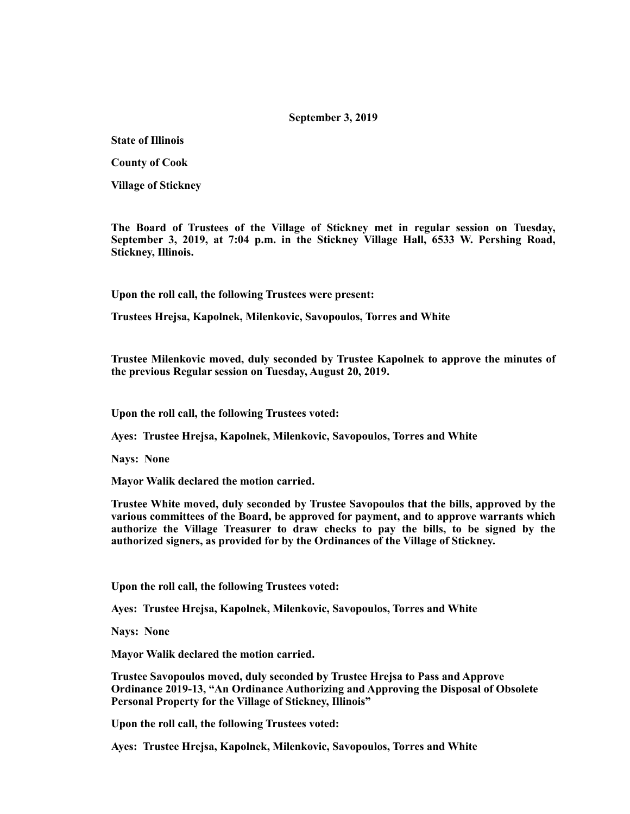## **September 3, 2019**

**State of Illinois** 

**County of Cook** 

**Village of Stickney** 

**The Board of Trustees of the Village of Stickney met in regular session on Tuesday, September 3, 2019, at 7:04 p.m. in the Stickney Village Hall, 6533 W. Pershing Road, Stickney, Illinois.** 

**Upon the roll call, the following Trustees were present:** 

**Trustees Hrejsa, Kapolnek, Milenkovic, Savopoulos, Torres and White** 

**Trustee Milenkovic moved, duly seconded by Trustee Kapolnek to approve the minutes of the previous Regular session on Tuesday, August 20, 2019.** 

**Upon the roll call, the following Trustees voted:** 

**Ayes: Trustee Hrejsa, Kapolnek, Milenkovic, Savopoulos, Torres and White** 

**Nays: None** 

**Mayor Walik declared the motion carried.** 

**Trustee White moved, duly seconded by Trustee Savopoulos that the bills, approved by the various committees of the Board, be approved for payment, and to approve warrants which authorize the Village Treasurer to draw checks to pay the bills, to be signed by the authorized signers, as provided for by the Ordinances of the Village of Stickney.** 

**Upon the roll call, the following Trustees voted:** 

**Ayes: Trustee Hrejsa, Kapolnek, Milenkovic, Savopoulos, Torres and White** 

**Nays: None** 

**Mayor Walik declared the motion carried.** 

**Trustee Savopoulos moved, duly seconded by Trustee Hrejsa to Pass and Approve Ordinance 2019-13, "An Ordinance Authorizing and Approving the Disposal of Obsolete Personal Property for the Village of Stickney, Illinois"** 

**Upon the roll call, the following Trustees voted:** 

**Ayes: Trustee Hrejsa, Kapolnek, Milenkovic, Savopoulos, Torres and White**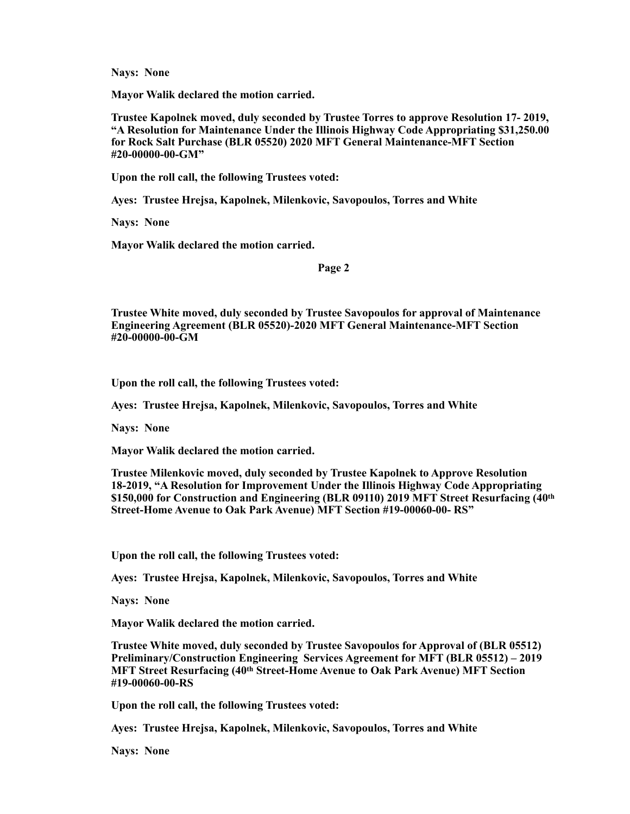**Nays: None** 

**Mayor Walik declared the motion carried.** 

**Trustee Kapolnek moved, duly seconded by Trustee Torres to approve Resolution 17- 2019, "A Resolution for Maintenance Under the Illinois Highway Code Appropriating \$31,250.00 for Rock Salt Purchase (BLR 05520) 2020 MFT General Maintenance-MFT Section #20-00000-00-GM"** 

**Upon the roll call, the following Trustees voted:** 

**Ayes: Trustee Hrejsa, Kapolnek, Milenkovic, Savopoulos, Torres and White** 

**Nays: None** 

**Mayor Walik declared the motion carried.** 

**Page 2** 

**Trustee White moved, duly seconded by Trustee Savopoulos for approval of Maintenance Engineering Agreement (BLR 05520)-2020 MFT General Maintenance-MFT Section #20-00000-00-GM** 

**Upon the roll call, the following Trustees voted:** 

**Ayes: Trustee Hrejsa, Kapolnek, Milenkovic, Savopoulos, Torres and White** 

**Nays: None** 

**Mayor Walik declared the motion carried.** 

**Trustee Milenkovic moved, duly seconded by Trustee Kapolnek to Approve Resolution 18-2019, "A Resolution for Improvement Under the Illinois Highway Code Appropriating \$150,000 for Construction and Engineering (BLR 09110) 2019 MFT Street Resurfacing (40th Street-Home Avenue to Oak Park Avenue) MFT Section #19-00060-00- RS"** 

**Upon the roll call, the following Trustees voted:** 

**Ayes: Trustee Hrejsa, Kapolnek, Milenkovic, Savopoulos, Torres and White** 

**Nays: None** 

**Mayor Walik declared the motion carried.** 

**Trustee White moved, duly seconded by Trustee Savopoulos for Approval of (BLR 05512) Preliminary/Construction Engineering Services Agreement for MFT (BLR 05512) – 2019 MFT Street Resurfacing (40th Street-Home Avenue to Oak Park Avenue) MFT Section #19-00060-00-RS** 

**Upon the roll call, the following Trustees voted:** 

**Ayes: Trustee Hrejsa, Kapolnek, Milenkovic, Savopoulos, Torres and White** 

**Nays: None**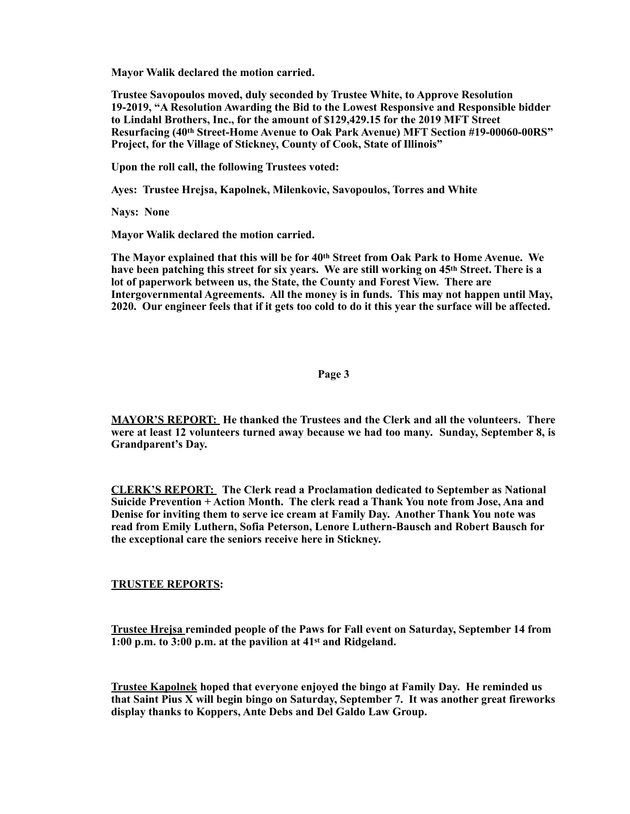**Mayor Walik declared the motion carried.** 

**Trustee Savopoulos moved, duly seconded by Trustee White, to Approve Resolution 19-2019, "A Resolution Awarding the Bid to the Lowest Responsive and Responsible bidder to Lindahl Brothers, Inc., for the amount of \$129,429.15 for the 2019 MFT Street Resurfacing (40th Street-Home Avenue to Oak Park Avenue) MFT Section #19-00060-00RS" Project, for the Village of Stickney, County of Cook, State of Illinois"** 

**Upon the roll call, the following Trustees voted:** 

**Ayes: Trustee Hrejsa, Kapolnek, Milenkovic, Savopoulos, Torres and White** 

**Nays: None** 

**Mayor Walik declared the motion carried.** 

**The Mayor explained that this will be for 40th Street from Oak Park to Home Avenue. We have been patching this street for six years. We are still working on 45th Street. There is a lot of paperwork between us, the State, the County and Forest View. There are Intergovernmental Agreements. All the money is in funds. This may not happen until May, 2020. Our engineer feels that if it gets too cold to do it this year the surface will be affected.** 

## **Page 3**

**MAYOR'S REPORT: He thanked the Trustees and the Clerk and all the volunteers. There were at least 12 volunteers turned away because we had too many. Sunday, September 8, is Grandparent's Day.** 

**CLERK'S REPORT: The Clerk read a Proclamation dedicated to September as National Suicide Prevention + Action Month. The clerk read a Thank You note from Jose, Ana and Denise for inviting them to serve ice cream at Family Day. Another Thank You note was read from Emily Luthern, Sofia Peterson, Lenore Luthern-Bausch and Robert Bausch for the exceptional care the seniors receive here in Stickney.** 

## **TRUSTEE REPORTS:**

**Trustee Hrejsa reminded people of the Paws for Fall event on Saturday, September 14 from 1:00 p.m. to 3:00 p.m. at the pavilion at 41st and Ridgeland.** 

**Trustee Kapolnek hoped that everyone enjoyed the bingo at Family Day. He reminded us that Saint Pius X will begin bingo on Saturday, September 7. It was another great fireworks display thanks to Koppers, Ante Debs and Del Galdo Law Group.**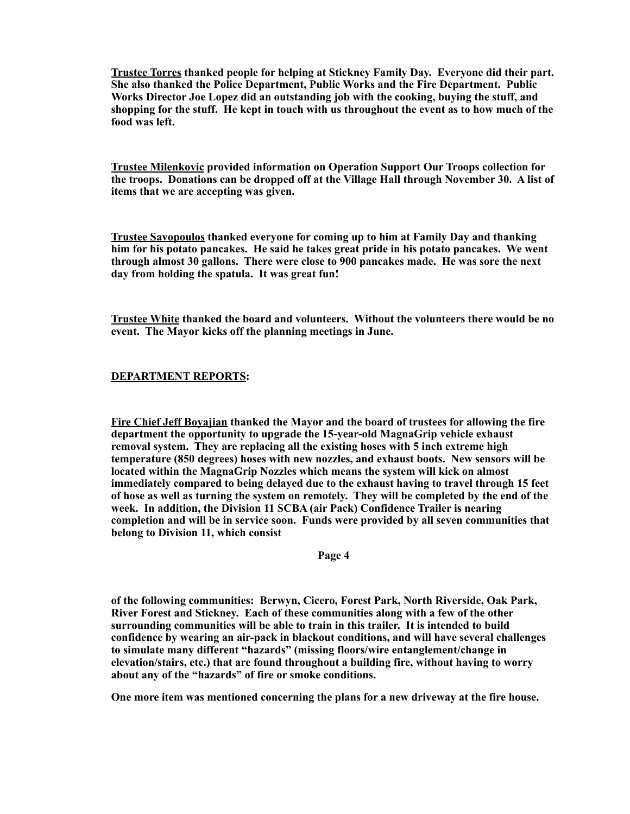**Trustee Torres thanked people for helping at Stickney Family Day. Everyone did their part. She also thanked the Police Department, Public Works and the Fire Department. Public Works Director Joe Lopez did an outstanding job with the cooking, buying the stuff, and shopping for the stuff. He kept in touch with us throughout the event as to how much of the food was left.** 

**Trustee Milenkovic provided information on Operation Support Our Troops collection for the troops. Donations can be dropped off at the Village Hall through November 30. A list of items that we are accepting was given.** 

**Trustee Savopoulos thanked everyone for coming up to him at Family Day and thanking him for his potato pancakes. He said he takes great pride in his potato pancakes. We went through almost 30 gallons. There were close to 900 pancakes made. He was sore the next day from holding the spatula. It was great fun!** 

**Trustee White thanked the board and volunteers. Without the volunteers there would be no event. The Mayor kicks off the planning meetings in June.** 

## **DEPARTMENT REPORTS:**

**Fire Chief Jeff Boyajian thanked the Mayor and the board of trustees for allowing the fire department the opportunity to upgrade the 15-year-old MagnaGrip vehicle exhaust removal system. They are replacing all the existing hoses with 5 inch extreme high temperature (850 degrees) hoses with new nozzles, and exhaust boots. New sensors will be located within the MagnaGrip Nozzles which means the system will kick on almost immediately compared to being delayed due to the exhaust having to travel through 15 feet of hose as well as turning the system on remotely. They will be completed by the end of the week. In addition, the Division 11 SCBA (air Pack) Confidence Trailer is nearing completion and will be in service soon. Funds were provided by all seven communities that belong to Division 11, which consist** 

**Page 4** 

**of the following communities: Berwyn, Cicero, Forest Park, North Riverside, Oak Park, River Forest and Stickney. Each of these communities along with a few of the other surrounding communities will be able to train in this trailer. It is intended to build confidence by wearing an air-pack in blackout conditions, and will have several challenges to simulate many different "hazards" (missing floors/wire entanglement/change in elevation/stairs, etc.) that are found throughout a building fire, without having to worry about any of the "hazards" of fire or smoke conditions.** 

**One more item was mentioned concerning the plans for a new driveway at the fire house.**